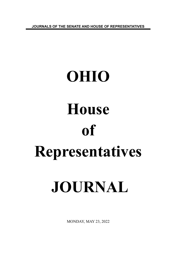**JOURNALS OF THE SENATE AND HOUSE OF REPRESENTATIVES**

# **OHIO House of Representatives JOURNAL**

MONDAY, MAY 23, 2022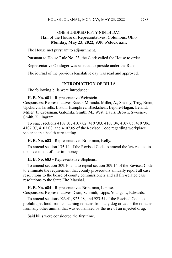# ONE HUNDRED FIFTY-NINTH DAY Hall of the House of Representatives, Columbus, Ohio **Monday, May 23, 2022, 9:00 o'clock a.m.**

The House met pursuant to adjournment.

Pursuant to House Rule No. 23, the Clerk called the House to order.

Representative Oelslager was selected to preside under the Rule.

The journal of the previous legislative day was read and approved.

### **INTRODUCTION OF BILLS**

The following bills were introduced:

**H. B. No. 681 -** Representative Weinstein.

Cosponsors: Representatives Russo, Miranda, Miller, A., Sheehy, Troy, Brent, Upchurch, Jarrells, Liston, Humphrey, Blackshear, Lepore-Hagan, Leland, Miller, J., Crossman, Galonski, Smith, M., West, Davis, Brown, Sweeney, Smith, K., Ingram.

To enact sections 4107.01, 4107.02, 4107.03, 4107.04, 4107.05, 4107.06, 4107.07, 4107.08, and 4107.09 of the Revised Code regarding workplace violence in a health care setting.

**H. B. No. 682 -** Representatives Brinkman, Kelly.

To amend section 135.14 of the Revised Code to amend the law related to the investment of interim money.

**H. B. No. 683 -** Representative Stephens.

To amend section 309.10 and to repeal section 309.16 of the Revised Code to eliminate the requirement that county prosecutors annually report all case resolutions to the board of county commissioners and all fire-related case resolutions to the State Fire Marshal.

**H. B. No. 684 -** Representatives Brinkman, Lanese.

Cosponsors: Representatives Dean, Schmidt, Lipps, Young, T., Edwards.

To amend sections 923.41, 923.48, and 923.51 of the Revised Code to prohibit pet food from containing remains from any dog or cat or the remains from any other animal that was euthanized by the use of an injected drug.

Said bills were considered the first time.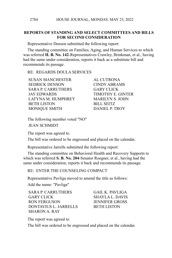# **REPORTS OF STANDING AND SELECT COMMITTEES AND BILLS FOR SECOND CONSIDERATION**

Representative Denson submitted the following report:

The standing committee on Families, Aging, and Human Services to which was referred **H. B. No. 142**-Representatives Crawley, Brinkman, et al., having had the same under consideration, reports it back as a substitute bill and recommends its passage.

RE: REGARDS DOULA SERVICES

SUSAN MANCHESTER AL CUTRONA SEDRICK DENSON CINDY ABRAMS SARA P. CARRUTHERS GARY CLICK JAY EDWARDS TIMOTHY E. GINTER LATYNA M. HUMPHREY MARILYN S. JOHN BETH LISTON BILL SEITZ MONIQUE SMITH DANIEL P. TROY

The following member voted "NO" JEAN SCHMIDT

The report was agreed to.

The bill was ordered to be engrossed and placed on the calendar.

Representative Jarrells submitted the following report:

The standing committee on Behavioral Health and Recovery Supports to which was referred **S. B. No. 204**-Senator Roegner, et al., having had the same under consideration, reports it back and recommends its passage.

RE: ENTER THE COUNSELING COMPACT

Representative Pavliga moved to amend the title as follows:

Add the name: "Pavliga"

SARA P. CARRUTHERS GAIL K. PAVLIGA GARY CLICK SHAYLA L. DAVIS RON FERGUSON JENNIFER GROSS DONTAVIUS L. JARRELLS BETH LISTON SHARON A. RAY

The report was agreed to.

The bill was ordered to be engrossed and placed on the calendar.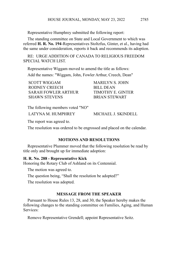Representative Humphrey submitted the following report:

The standing committee on State and Local Government to which was referred **H. R. No. 194**-Representatives Stoltzfus, Ginter, et al., having had the same under consideration, reports it back and recommends its adoption.

RE: URGE ADDITION OF CANADA TO RELIGIOUS FREEDOM SPECIAL WATCH LIST.

Representative Wiggam moved to amend the title as follows:

Add the names: "Wiggam, John, Fowler Arthur, Creech, Dean"

SCOTT WIGGAM MARILYN S. JOHN RODNEY CREECH BILL DEAN SARAH FOWLER ARTHUR TIMOTHY E. GINTER SHAWN STEVENS BRIAN STEWART

The following members voted "NO" LATYNA M. HUMPHREY MICHAEL J. SKINDELL

The report was agreed to.

The resolution was ordered to be engrossed and placed on the calendar.

# **MOTIONS AND RESOLUTIONS**

Representative Plummer moved that the following resolution be read by title only and brought up for immediate adoption:

### **H. R. No. 288 - Representative Kick**

Honoring the Rotary Club of Ashland on its Centennial.

The motion was agreed to.

The question being, "Shall the resolution be adopted?"

The resolution was adopted.

### **MESSAGE FROM THE SPEAKER**

Pursuant to House Rules 13, 28, and 30, the Speaker hereby makes the following changes to the standing committee on Families, Aging, and Human Services:

Remove Representative Grendell; appoint Representative Seitz.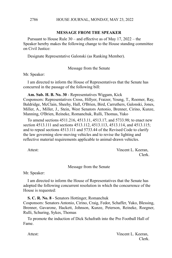# **MESSAGE FROM THE SPEAKER**

Pursuant to House Rule 30 – and effective as of May 17, 2022 – the Speaker hereby makes the following change to the House standing committee on Civil Justice:

Designate Representative Galonski (as Ranking Member).

Message from the Senate

Mr. Speaker:

2786

I am directed to inform the House of Representatives that the Senate has concurred in the passage of the following bill:

**Am. Sub. H. B. No. 30** - Representatives Wiggam, Kick

Cosponsors: Representatives Cross, Hillyer, Fraizer, Young, T., Roemer, Ray, Baldridge, McClain, Sheehy, Hall, O'Brien, Bird, Carruthers, Galonski, Jones, Miller, A., Miller, J., Stein, West Senators Antonio, Brenner, Cirino, Kunze, Manning, O'Brien, Reineke, Romanchuk, Rulli, Thomas, Yuko

To amend sections 4511.216, 4513.11, 4513.17, and 5733.98; to enact new section 4513.111 and sections 4513.112, 4513.113, 4513.114, and 4513.115; and to repeal sections 4513.111 and 5733.44 of the Revised Code to clarify the law governing slow-moving vehicles and to revise the lighting and reflective material requirements applicable to animal-drawn vehicles.

Attest: Vincent L. Keeran, Clerk.

Message from the Senate

Mr. Speaker:

I am directed to inform the House of Representatives that the Senate has adopted the following concurrent resolution in which the concurrence of the House is requested:

**S. C. R. No. 8** - Senators Hottinger, Romanchuk

Cosponsors: Senators Antonio, Cirino, Craig, Fedor, Schaffer, Yuko, Blessing, Brenner, Gavarone, Hackett, Johnson, Kunze, Peterson, Reineke, Roegner, Rulli, Schuring, Sykes, Thomas

To promote the induction of Dick Schafrath into the Pro Football Hall of Fame.

Attest: Vincent L. Keeran, Clerk.